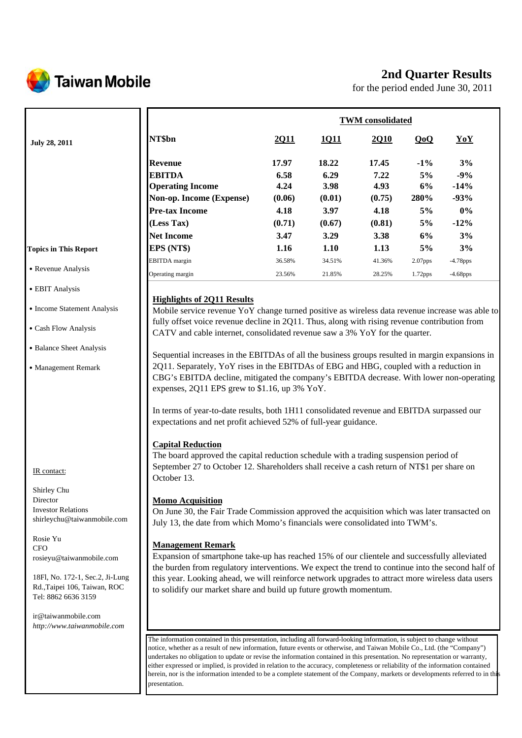

# **2nd Quarter Results**

for the period ended June 30, 2011

|                                                                 |                                                                                                                                                                                                                                                                  |        |        | <b>TWM</b> consolidated |            |             |
|-----------------------------------------------------------------|------------------------------------------------------------------------------------------------------------------------------------------------------------------------------------------------------------------------------------------------------------------|--------|--------|-------------------------|------------|-------------|
| <b>July 28, 2011</b>                                            | NT\$bn                                                                                                                                                                                                                                                           | 2011   | 1011   | 2Q10                    | QoQ        | YoY         |
|                                                                 | <b>Revenue</b>                                                                                                                                                                                                                                                   | 17.97  | 18.22  | 17.45                   | $-1\%$     | 3%          |
|                                                                 | <b>EBITDA</b>                                                                                                                                                                                                                                                    | 6.58   | 6.29   | 7.22                    | 5%         | $-9%$       |
|                                                                 | <b>Operating Income</b>                                                                                                                                                                                                                                          | 4.24   | 3.98   | 4.93                    | 6%         | $-14%$      |
|                                                                 | Non-op. Income (Expense)                                                                                                                                                                                                                                         | (0.06) | (0.01) | (0.75)                  | 280%       | $-93%$      |
|                                                                 | <b>Pre-tax Income</b>                                                                                                                                                                                                                                            | 4.18   | 3.97   | 4.18                    | 5%         | $0\%$       |
|                                                                 | (Less Tax)                                                                                                                                                                                                                                                       | (0.71) | (0.67) | (0.81)                  | 5%         | $-12%$      |
|                                                                 | <b>Net Income</b>                                                                                                                                                                                                                                                | 3.47   | 3.29   | 3.38                    | 6%         | 3%          |
| <b>Topics in This Report</b>                                    | EPS (NT\$)                                                                                                                                                                                                                                                       | 1.16   | 1.10   | 1.13                    | 5%         | 3%          |
|                                                                 | <b>EBITDA</b> margin                                                                                                                                                                                                                                             | 36.58% | 34.51% | 41.36%                  | $2.07$ pps | $-4.78$ pps |
| • Revenue Analysis                                              | Operating margin                                                                                                                                                                                                                                                 | 23.56% | 21.85% | 28.25%                  | 1.72pps    | $-4.68$ pps |
| • EBIT Analysis                                                 |                                                                                                                                                                                                                                                                  |        |        |                         |            |             |
|                                                                 | <b>Highlights of 2Q11 Results</b>                                                                                                                                                                                                                                |        |        |                         |            |             |
| • Income Statement Analysis                                     | Mobile service revenue YoY change turned positive as wireless data revenue increase was able to                                                                                                                                                                  |        |        |                         |            |             |
| • Cash Flow Analysis                                            | fully offset voice revenue decline in 2Q11. Thus, along with rising revenue contribution from<br>CATV and cable internet, consolidated revenue saw a 3% YoY for the quarter.                                                                                     |        |        |                         |            |             |
| • Balance Sheet Analysis                                        |                                                                                                                                                                                                                                                                  |        |        |                         |            |             |
|                                                                 | Sequential increases in the EBITDAs of all the business groups resulted in margin expansions in<br>2Q11. Separately, YoY rises in the EBITDAs of EBG and HBG, coupled with a reduction in                                                                        |        |        |                         |            |             |
| • Management Remark                                             | CBG's EBITDA decline, mitigated the company's EBITDA decrease. With lower non-operating                                                                                                                                                                          |        |        |                         |            |             |
|                                                                 | expenses, 2Q11 EPS grew to \$1.16, up 3% YoY.                                                                                                                                                                                                                    |        |        |                         |            |             |
|                                                                 |                                                                                                                                                                                                                                                                  |        |        |                         |            |             |
|                                                                 | In terms of year-to-date results, both 1H11 consolidated revenue and EBITDA surpassed our<br>expectations and net profit achieved 52% of full-year guidance.                                                                                                     |        |        |                         |            |             |
|                                                                 |                                                                                                                                                                                                                                                                  |        |        |                         |            |             |
|                                                                 | <b>Capital Reduction</b><br>The board approved the capital reduction schedule with a trading suspension period of                                                                                                                                                |        |        |                         |            |             |
|                                                                 | September 27 to October 12. Shareholders shall receive a cash return of NT\$1 per share on                                                                                                                                                                       |        |        |                         |            |             |
| IR contact:                                                     | October 13.                                                                                                                                                                                                                                                      |        |        |                         |            |             |
| Shirley Chu                                                     |                                                                                                                                                                                                                                                                  |        |        |                         |            |             |
| Director                                                        | <b>Momo Acquisition</b>                                                                                                                                                                                                                                          |        |        |                         |            |             |
| <b>Investor Relations</b>                                       | On June 30, the Fair Trade Commission approved the acquisition which was later transacted on                                                                                                                                                                     |        |        |                         |            |             |
| shirleychu@taiwanmobile.com                                     | July 13, the date from which Momo's financials were consolidated into TWM's.                                                                                                                                                                                     |        |        |                         |            |             |
| Rosie Yu                                                        |                                                                                                                                                                                                                                                                  |        |        |                         |            |             |
| CFO                                                             | <b>Management Remark</b>                                                                                                                                                                                                                                         |        |        |                         |            |             |
| rosieyu@taiwanmobile.com                                        | Expansion of smartphone take-up has reached 15% of our clientele and successfully alleviated                                                                                                                                                                     |        |        |                         |            |             |
|                                                                 | the burden from regulatory interventions. We expect the trend to continue into the second half of                                                                                                                                                                |        |        |                         |            |             |
| 18Fl, No. 172-1, Sec.2, Ji-Lung<br>Rd., Taipei 106, Taiwan, ROC | this year. Looking ahead, we will reinforce network upgrades to attract more wireless data users<br>to solidify our market share and build up future growth momentum.                                                                                            |        |        |                         |            |             |
| Tel: 8862 6636 3159                                             |                                                                                                                                                                                                                                                                  |        |        |                         |            |             |
|                                                                 |                                                                                                                                                                                                                                                                  |        |        |                         |            |             |
| ir@taiwanmobile.com<br>http://www.taiwanmobile.com              |                                                                                                                                                                                                                                                                  |        |        |                         |            |             |
|                                                                 |                                                                                                                                                                                                                                                                  |        |        |                         |            |             |
|                                                                 | The information contained in this presentation, including all forward-looking information, is subject to change without<br>notice, whether as a result of new information, future events or otherwise, and Taiwan Mobile Co., Ltd. (the "Company")               |        |        |                         |            |             |
|                                                                 | undertakes no obligation to update or revise the information contained in this presentation. No representation or warranty,                                                                                                                                      |        |        |                         |            |             |
|                                                                 | either expressed or implied, is provided in relation to the accuracy, completeness or reliability of the information contained<br>herein, nor is the information intended to be a complete statement of the Company, markets or developments referred to in this |        |        |                         |            |             |
|                                                                 | presentation.                                                                                                                                                                                                                                                    |        |        |                         |            |             |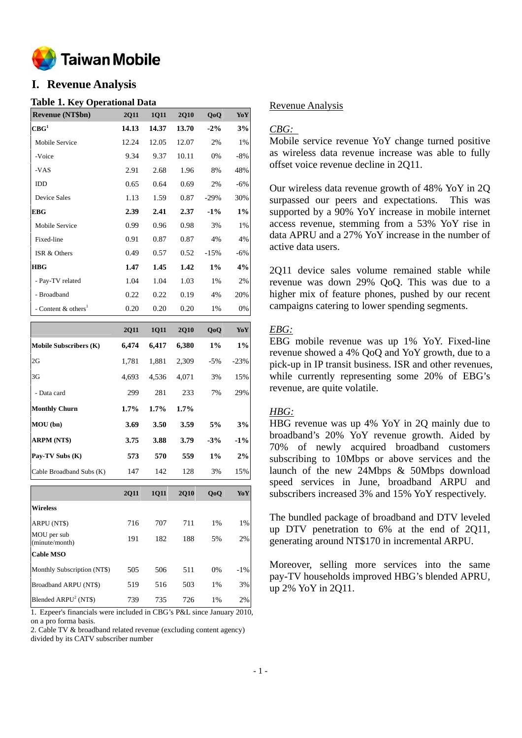

# **I. Revenue Analysis**

### **Table 1. Key Operational Data**

| <b>Revenue (NT\$bn)</b>           | <b>2Q11</b> | <b>1011</b> | <b>2Q10</b> | QoQ    | YoY   |
|-----------------------------------|-------------|-------------|-------------|--------|-------|
| CBG <sup>1</sup>                  | 14.13       | 14.37       | 13.70       | $-2\%$ | 3%    |
| Mobile Service                    | 12.24       | 12.05       | 12.07       | 2%     | 1%    |
| -Voice                            | 9.34        | 9.37        | 10.11       | 0%     | $-8%$ |
| $-VAS$                            | 2.91        | 2.68        | 1.96        | 8%     | 48%   |
| <b>IDD</b>                        | 0.65        | 0.64        | 0.69        | 2%     | $-6%$ |
| Device Sales                      | 1.13        | 1.59        | 0.87        | $-29%$ | 30%   |
| <b>EBG</b>                        | 2.39        | 2.41        | 2.37        | $-1\%$ | 1%    |
| Mobile Service                    | 0.99        | 0.96        | 0.98        | 3%     | 1%    |
| Fixed-line                        | 0.91        | 0.87        | 0.87        | 4%     | 4%    |
| ISR & Others                      | 0.49        | 0.57        | 0.52        | $-15%$ | $-6%$ |
| <b>HBG</b>                        | 1.47        | 1.45        | 1.42        | $1\%$  | 4%    |
| - Pay-TV related                  | 1.04        | 1.04        | 1.03        | 1%     | 2%    |
| - Broadband                       | 0.22        | 0.22        | 0.19        | 4%     | 20%   |
| - Content $&$ others <sup>1</sup> | 0.20        | 0.20        | 0.20        | 1%     | 0%    |
|                                   |             |             |             |        |       |

|                               | 2011    | <b>1Q11</b> | <b>2Q10</b> | QoQ    | YoY    |
|-------------------------------|---------|-------------|-------------|--------|--------|
| <b>Mobile Subscribers (K)</b> | 6,474   | 6,417       | 6,380       | $1\%$  | 1%     |
| 2G                            | 1,781   | 1,881       | 2,309       | $-5\%$ | $-23%$ |
| 3G                            | 4.693   | 4,536       | 4,071       | 3%     | 15%    |
| - Data card                   | 299     | 281         | 233         | 7%     | 29%    |
| <b>Monthly Churn</b>          | $1.7\%$ | $1.7\%$     | 1.7%        |        |        |
| MOU(bn)                       | 3.69    | 3.50        | 3.59        | 5%     | 3%     |
| <b>ARPM (NT\$)</b>            | 3.75    | 3.88        | 3.79        | $-3%$  | $-1\%$ |
| Pay-TV Subs (K)               | 573     | 570         | 559         | $1\%$  | 2%     |
| Cable Broadband Subs (K)      | 147     | 142         | 128         | 3%     | 15%    |

|                               | <b>2Q11</b> | <b>1011</b> | <b>2010</b> | 0 <sub>0</sub> | YoY    |
|-------------------------------|-------------|-------------|-------------|----------------|--------|
| <b>Wireless</b>               |             |             |             |                |        |
| ARPU (NT\$)                   | 716         | 707         | 711         | 1%             | 1%     |
| MOU per sub<br>(minute/month) | 191         | 182         | 188         | 5%             | 2%     |
| <b>Cable MSO</b>              |             |             |             |                |        |
| Monthly Subscription (NT\$)   | 505         | 506         | 511         | 0%             | $-1\%$ |
| Broadband ARPU (NT\$)         | 519         | 516         | 503         | 1%             | 3%     |
| Blended $ARPU2 (NT$)$         | 739         | 735         | 726         | 1%             | 2%     |

1. Ezpeer's financials were included in CBG's P&L since January 2010, on a pro forma basis.

2. Cable TV & broadband related revenue (excluding content agency) divided by its CATV subscriber number

## Revenue Analysis

## *CBG:*

Mobile service revenue YoY change turned positive as wireless data revenue increase was able to fully offset voice revenue decline in 2Q11.

Our wireless data revenue growth of 48% YoY in 2Q surpassed our peers and expectations. This was supported by a 90% YoY increase in mobile internet access revenue, stemming from a 53% YoY rise in data APRU and a 27% YoY increase in the number of active data users.

2Q11 device sales volume remained stable while revenue was down 29% QoQ. This was due to a higher mix of feature phones, pushed by our recent campaigns catering to lower spending segments.

## *EBG:*

EBG mobile revenue was up 1% YoY. Fixed-line revenue showed a 4% QoQ and YoY growth, due to a pick-up in IP transit business. ISR and other revenues, while currently representing some 20% of EBG's revenue, are quite volatile.

## *HBG:*

HBG revenue was up 4% YoY in 2Q mainly due to broadband's 20% YoY revenue growth. Aided by 70% of newly acquired broadband customers subscribing to 10Mbps or above services and the launch of the new 24Mbps & 50Mbps download speed services in June, broadband ARPU and subscribers increased 3% and 15% YoY respectively.

The bundled package of broadband and DTV leveled up DTV penetration to 6% at the end of 2Q11, generating around NT\$170 in incremental ARPU.

Moreover, selling more services into the same pay-TV households improved HBG's blended APRU, up 2% YoY in 2Q11.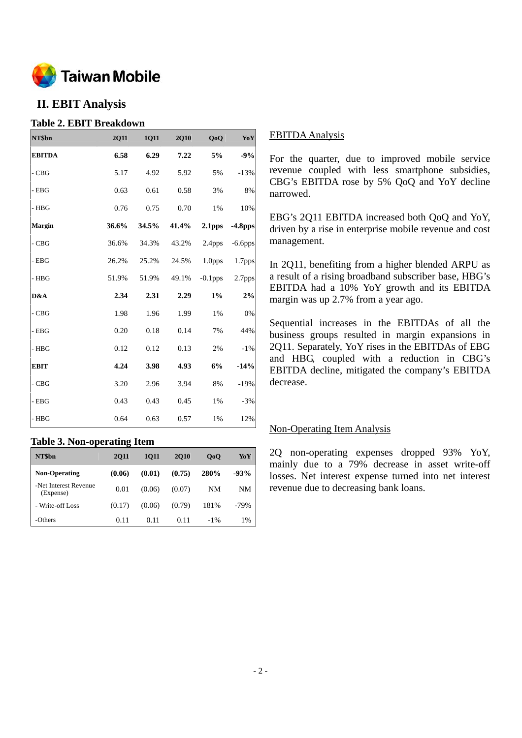

# **II. EBIT Analysis**

## **Table 2. EBIT Breakdown**

| NT\$bn        | <b>2Q11</b> | 1Q11  | 2Q10  | QoQ                | Yo Y       |
|---------------|-------------|-------|-------|--------------------|------------|
| <b>EBITDA</b> | 6.58        | 6.29  | 7.22  | 5%                 | $-9%$      |
| $-CBG$        | 5.17        | 4.92  | 5.92  | 5%                 | $-13%$     |
| $-$ EBG       | 0.63        | 0.61  | 0.58  | 3%                 | 8%         |
| $-$ HBG       | 0.76        | 0.75  | 0.70  | 1%                 | 10%        |
| <b>Margin</b> | 36.6%       | 34.5% | 41.4% | 2.1 <sub>pps</sub> | $-4.8$ pps |
| $-CBG$        | 36.6%       | 34.3% | 43.2% | 2.4 <sub>pps</sub> | $-6.6$ pps |
| $-$ EBG       | 26.2%       | 25.2% | 24.5% | 1.0 <sub>pps</sub> | 1.7pps     |
| $-$ HBG       | 51.9%       | 51.9% | 49.1% | $-0.1$ pps         | 2.7pps     |
| D&A           | 2.34        | 2.31  | 2.29  | $1\%$              | 2%         |
| $-CBG$        | 1.98        | 1.96  | 1.99  | 1%                 | 0%         |
| $-$ EBG       | 0.20        | 0.18  | 0.14  | 7%                 | 44%        |
| $-$ HBG       | 0.12        | 0.12  | 0.13  | 2%                 | $-1%$      |
| <b>EBIT</b>   | 4.24        | 3.98  | 4.93  | 6%                 | $-14%$     |
| $-CBG$        | 3.20        | 2.96  | 3.94  | $8\%$              | $-19%$     |
| $-$ EBG       | 0.43        | 0.43  | 0.45  | 1%                 | $-3%$      |
| $-$ HBG       | 0.64        | 0.63  | 0.57  | 1%                 | 12%        |

## **Table 3. Non-operating Item**

| NT\$bn                             | <b>2011</b> | 1011   | <b>2010</b> | 0 <sub>0</sub> | YoY    |
|------------------------------------|-------------|--------|-------------|----------------|--------|
| <b>Non-Operating</b>               | (0.06)      | (0.01) | (0.75)      | 280%           | $-93%$ |
| -Net Interest Revenue<br>(Expense) | 0.01        | (0.06) | (0.07)      | NM             | NM     |
| - Write-off Loss                   | (0.17)      | (0.06) | (0.79)      | 181%           | $-79%$ |
| -Others                            | 0.11        | 0.11   | 0.11        | $-1\%$         | 1%     |

## EBITDA Analysis

For the quarter, due to improved mobile service revenue coupled with less smartphone subsidies, CBG's EBITDA rose by 5% QoQ and YoY decline narrowed.

EBG's 2Q11 EBITDA increased both QoQ and YoY, driven by a rise in enterprise mobile revenue and cost management.

In 2Q11, benefiting from a higher blended ARPU as a result of a rising broadband subscriber base, HBG's EBITDA had a 10% YoY growth and its EBITDA margin was up 2.7% from a year ago.

Sequential increases in the EBITDAs of all the business groups resulted in margin expansions in 2Q11. Separately, YoY rises in the EBITDAs of EBG and HBG, coupled with a reduction in CBG's EBITDA decline, mitigated the company's EBITDA decrease.

## Non-Operating Item Analysis

2Q non-operating expenses dropped 93% YoY, mainly due to a 79% decrease in asset write-off losses. Net interest expense turned into net interest revenue due to decreasing bank loans.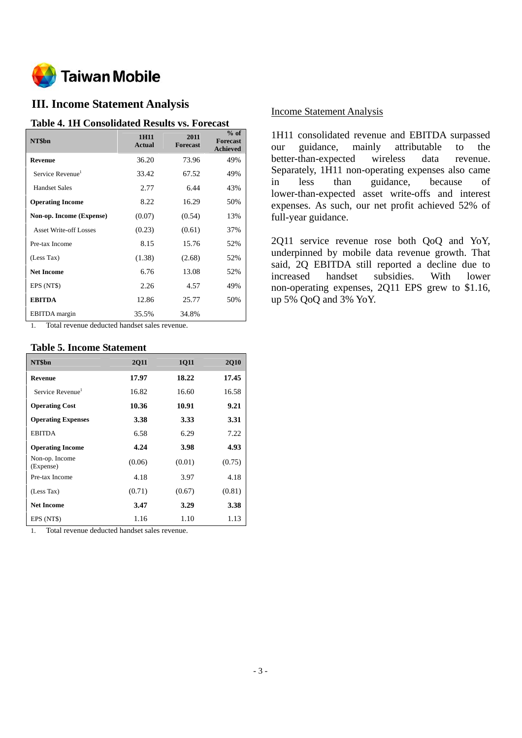

# **III. Income Statement Analysis**

### **Table 4. 1H Consolidated Results vs. Forecast**

| NT\$bn                        | 1H11<br><b>Actual</b> | 2011<br><b>Forecast</b> | $%$ of<br><b>Forecast</b><br><b>Achieved</b> |
|-------------------------------|-----------------------|-------------------------|----------------------------------------------|
| Revenue                       | 36.20                 | 73.96                   | 49%                                          |
| Service Revenue <sup>1</sup>  | 33.42                 | 67.52                   | 49%                                          |
| <b>Handset Sales</b>          | 2.77                  | 6.44                    | 43%                                          |
| <b>Operating Income</b>       | 8.22                  | 16.29                   | 50%                                          |
| Non-op. Income (Expense)      | (0.07)                | (0.54)                  | 13%                                          |
| <b>Asset Write-off Losses</b> | (0.23)                | (0.61)                  | 37%                                          |
| Pre-tax Income                | 8.15                  | 15.76                   | 52%                                          |
| (Less Tax)                    | (1.38)                | (2.68)                  | 52%                                          |
| <b>Net Income</b>             | 6.76                  | 13.08                   | 52%                                          |
| EPS (NT\$)                    | 2.26                  | 4.57                    | 49%                                          |
| <b>EBITDA</b>                 | 12.86                 | 25.77                   | 50%                                          |
| <b>EBITDA</b> margin          | 35.5%                 | 34.8%                   |                                              |

1. Total revenue deducted handset sales revenue.

## **Table 5. Income Statement**

| NT\$bn                       | <b>2011</b> | <b>1Q11</b> | <b>2Q10</b> |
|------------------------------|-------------|-------------|-------------|
| <b>Revenue</b>               | 17.97       | 18.22       | 17.45       |
| Service Revenue <sup>1</sup> | 16.82       | 16.60       | 16.58       |
| <b>Operating Cost</b>        | 10.36       | 10.91       | 9.21        |
| <b>Operating Expenses</b>    | 3.38        | 3.33        | 3.31        |
| <b>EBITDA</b>                | 6.58        | 6.29        | 7.22        |
| <b>Operating Income</b>      | 4.24        | 3.98        | 4.93        |
| Non-op. Income<br>(Expense)  | (0.06)      | (0.01)      | (0.75)      |
| Pre-tax Income               | 4.18        | 3.97        | 4.18        |
| (Less Tax)                   | (0.71)      | (0.67)      | (0.81)      |
| <b>Net Income</b>            | 3.47        | 3.29        | 3.38        |
|                              |             |             |             |

1. Total revenue deducted handset sales revenue.

# Income Statement Analysis

1H11 consolidated revenue and EBITDA surpassed our guidance, mainly attributable to the better-than-expected wireless data revenue. Separately, 1H11 non-operating expenses also came in less than guidance, because of lower-than-expected asset write-offs and interest expenses. As such, our net profit achieved 52% of full-year guidance.

2Q11 service revenue rose both QoQ and YoY, underpinned by mobile data revenue growth. That said, 2Q EBITDA still reported a decline due to increased handset subsidies. With lower non-operating expenses, 2Q11 EPS grew to \$1.16, up 5% QoQ and 3% YoY.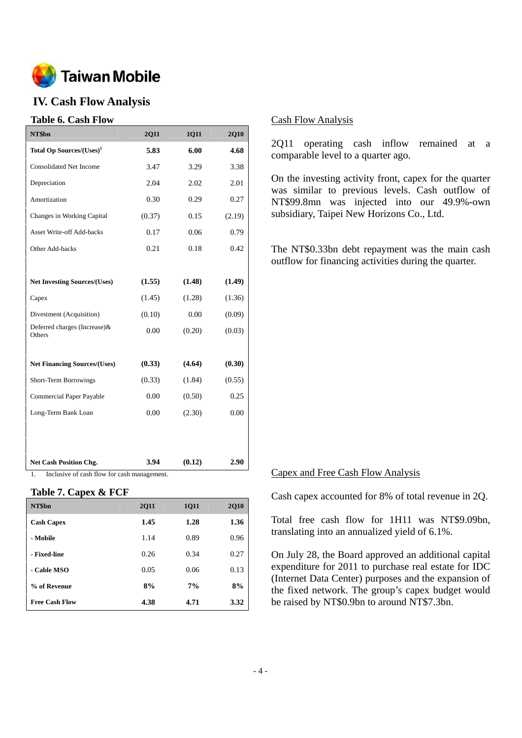

# **IV. Cash Flow Analysis**

# **Table 6. Cash Flow**

| NT\$bn                                            | <b>2Q11</b> | 1Q11   | <b>2Q10</b> |  |  |  |
|---------------------------------------------------|-------------|--------|-------------|--|--|--|
| Total Op Sources/(Uses) <sup>1</sup>              | 5.83        | 6.00   | 4.68        |  |  |  |
| <b>Consolidated Net Income</b>                    | 3.47        | 3.29   | 3.38        |  |  |  |
| Depreciation                                      | 2.04        | 2.02   | 2.01        |  |  |  |
| Amortization                                      | 0.30        | 0.29   | 0.27        |  |  |  |
| Changes in Working Capital                        | (0.37)      | 0.15   | (2.19)      |  |  |  |
| <b>Asset Write-off Add-backs</b>                  | 0.17        | 0.06   | 0.79        |  |  |  |
| Other Add-backs                                   | 0.21        | 0.18   | 0.42        |  |  |  |
|                                                   |             |        |             |  |  |  |
| <b>Net Investing Sources/(Uses)</b>               | (1.55)      | (1.48) | (1.49)      |  |  |  |
| Capex                                             | (1.45)      | (1.28) | (1.36)      |  |  |  |
| Divestment (Acquisition)                          | (0.10)      | 0.00   | (0.09)      |  |  |  |
| Deferred charges (Increase)&<br>Others            | 0.00        | (0.20) | (0.03)      |  |  |  |
|                                                   |             |        |             |  |  |  |
| <b>Net Financing Sources/(Uses)</b>               | (0.33)      | (4.64) | (0.30)      |  |  |  |
| <b>Short-Term Borrowings</b>                      | (0.33)      | (1.84) | (0.55)      |  |  |  |
| Commercial Paper Payable                          | 0.00        | (0.50) | 0.25        |  |  |  |
| Long-Term Bank Loan                               | 0.00        | (2.30) | 0.00        |  |  |  |
|                                                   |             |        |             |  |  |  |
|                                                   |             |        |             |  |  |  |
| <b>Net Cash Position Chg.</b>                     | 3.94        | (0.12) | 2.90        |  |  |  |
| Inclusive of cash flow for cash management.<br>1. |             |        |             |  |  |  |

**Table 7. Capex & FCF** 

| NT\$bn                | <b>2Q11</b> | <b>1Q11</b> | <b>2Q10</b> |
|-----------------------|-------------|-------------|-------------|
| <b>Cash Capex</b>     | 1.45        | 1.28        | 1.36        |
| - Mobile              | 1.14        | 0.89        | 0.96        |
| - Fixed-line          | 0.26        | 0.34        | 0.27        |
| - Cable MSO           | 0.05        | 0.06        | 0.13        |
| % of Revenue          | 8%          | 7%          | 8%          |
| <b>Free Cash Flow</b> | 4.38        | 4.71        | 3.32        |

### Cash Flow Analysis

2Q11 operating cash inflow remained at a comparable level to a quarter ago.

On the investing activity front, capex for the quarter was similar to previous levels. Cash outflow of NT\$99.8mn was injected into our 49.9%-own subsidiary, Taipei New Horizons Co., Ltd.

The NT\$0.33bn debt repayment was the main cash outflow for financing activities during the quarter.

#### Capex and Free Cash Flow Analysis

Cash capex accounted for 8% of total revenue in 2Q.

Total free cash flow for 1H11 was NT\$9.09bn, translating into an annualized yield of 6.1%.

On July 28, the Board approved an additional capital expenditure for 2011 to purchase real estate for IDC (Internet Data Center) purposes and the expansion of the fixed network. The group's capex budget would be raised by NT\$0.9bn to around NT\$7.3bn.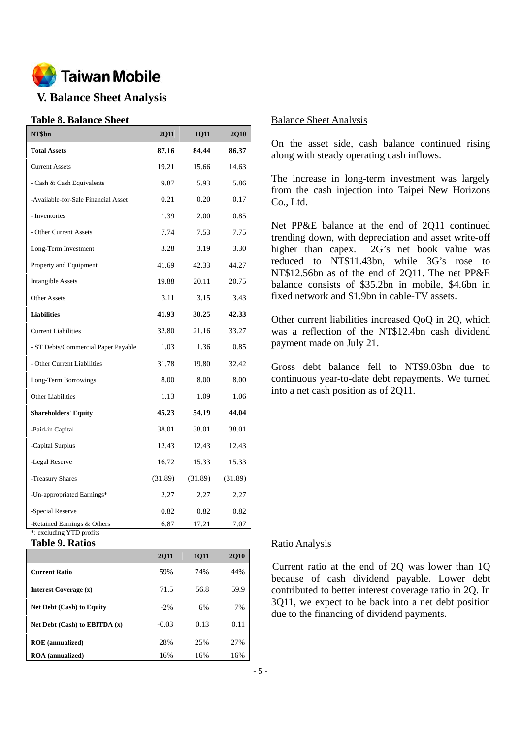

# **V. Balance Sheet Analysis**

## **Table 8. Balance Sheet**

| NT\$bn                                                  | <b>2Q11</b> | <b>1011</b> | 2Q10    |
|---------------------------------------------------------|-------------|-------------|---------|
| <b>Total Assets</b>                                     | 87.16       | 84.44       | 86.37   |
| <b>Current Assets</b>                                   | 19.21       | 15.66       | 14.63   |
| - Cash & Cash Equivalents                               | 9.87        | 5.93        | 5.86    |
| -Available-for-Sale Financial Asset                     | 0.21        | 0.20        | 0.17    |
| - Inventories                                           | 1.39        | 2.00        | 0.85    |
| - Other Current Assets                                  | 7.74        | 7.53        | 7.75    |
| Long-Term Investment                                    | 3.28        | 3.19        | 3.30    |
| Property and Equipment                                  | 41.69       | 42.33       | 44.27   |
| <b>Intangible Assets</b>                                | 19.88       | 20.11       | 20.75   |
| <b>Other Assets</b>                                     | 3.11        | 3.15        | 3.43    |
| <b>Liabilities</b>                                      | 41.93       | 30.25       | 42.33   |
| <b>Current Liabilities</b>                              | 32.80       | 21.16       | 33.27   |
| - ST Debts/Commercial Paper Payable                     | 1.03        | 1.36        | 0.85    |
| - Other Current Liabilities                             | 31.78       | 19.80       | 32.42   |
| Long-Term Borrowings                                    | 8.00        | 8.00        | 8.00    |
| <b>Other Liabilities</b>                                | 1.13        | 1.09        | 1.06    |
| <b>Shareholders' Equity</b>                             | 45.23       | 54.19       | 44.04   |
| -Paid-in Capital                                        | 38.01       | 38.01       | 38.01   |
| -Capital Surplus                                        | 12.43       | 12.43       | 12.43   |
| -Legal Reserve                                          | 16.72       | 15.33       | 15.33   |
| -Treasury Shares                                        | (31.89)     | (31.89)     | (31.89) |
| -Un-appropriated Earnings*                              | 2.27        | 2.27        | 2.27    |
| -Special Reserve                                        | 0.82        | 0.82        | 0.82    |
| -Retained Earnings & Others<br>*: excluding YTD profits | 6.87        | 17.21       | 7.07    |

**Table 9. Ratios** 

|                                   | <b>2011</b> | <b>1011</b> | <b>2010</b> |
|-----------------------------------|-------------|-------------|-------------|
| <b>Current Ratio</b>              | 59%         | 74%         | 44%         |
| Interest Coverage (x)             | 71.5        | 56.8        | 59.9        |
| <b>Net Debt (Cash) to Equity</b>  | $-2\%$      | 6%          | 7%          |
| Net Debt $(Cash)$ to EBITDA $(x)$ | $-0.03$     | 0.13        | 0.11        |
| <b>ROE</b> (annualized)           | 28%         | 25%         | 27%         |
| <b>ROA</b> (annualized)           | 16%         | 16%         | 16%         |

### Balance Sheet Analysis

On the asset side, cash balance continued rising along with steady operating cash inflows.

The increase in long-term investment was largely from the cash injection into Taipei New Horizons Co., Ltd.

Net PP&E balance at the end of 2Q11 continued trending down, with depreciation and asset write-off higher than capex. 2G's net book value was reduced to NT\$11.43bn, while 3G's rose to NT\$12.56bn as of the end of 2Q11. The net PP&E balance consists of \$35.2bn in mobile, \$4.6bn in fixed network and \$1.9bn in cable-TV assets.

Other current liabilities increased QoQ in 2Q, which was a reflection of the NT\$12.4bn cash dividend payment made on July 21.

Gross debt balance fell to NT\$9.03bn due to continuous year-to-date debt repayments. We turned into a net cash position as of 2Q11.

## Ratio Analysis

Current ratio at the end of 2Q was lower than 1Q because of cash dividend payable. Lower debt contributed to better interest coverage ratio in 2Q. In 3Q11, we expect to be back into a net debt position due to the financing of dividend payments.